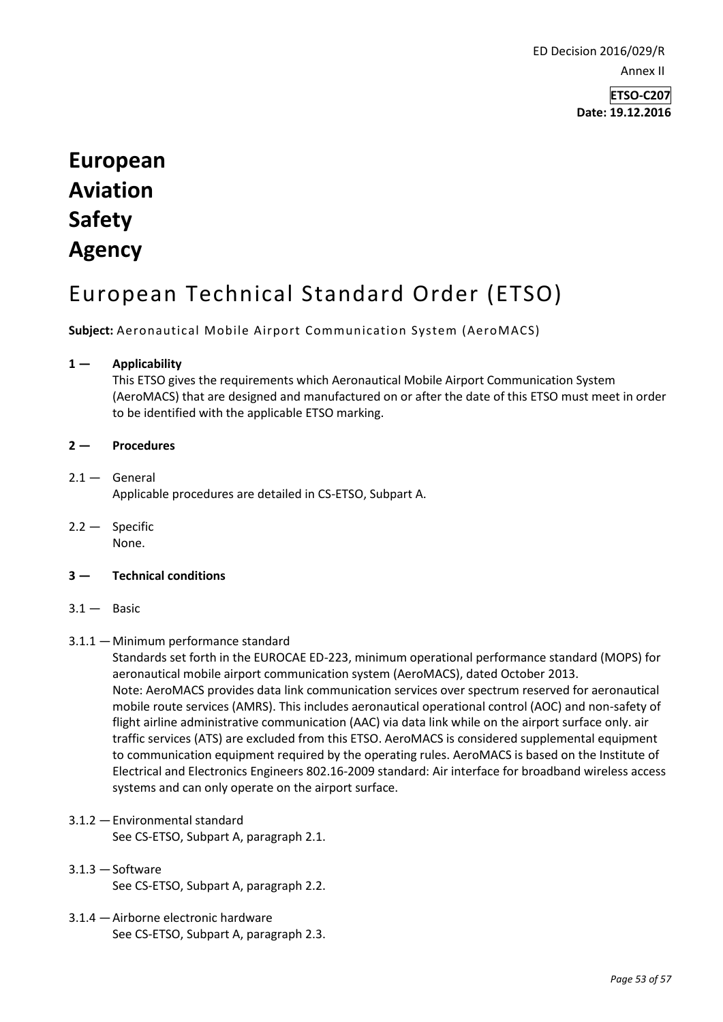ED Decision 2016/029/R Annex II

> **ETSO-C207 Date: 19.12.2016**

## **European Aviation Safety Agency**

## European Technical Standard Order (ETSO)

**Subject:** Aeronautical Mobile Airport Communication System (AeroMACS)

## **1 — Applicability**

This ETSO gives the requirements which Aeronautical Mobile Airport Communication System (AeroMACS) that are designed and manufactured on or after the date of this ETSO must meet in order to be identified with the applicable ETSO marking.

## **2 — Procedures**

- $2.1 -$  General Applicable procedures are detailed in CS-ETSO, Subpart A.
- 2.2 Specific None.
- **3 — Technical conditions**
- $3.1 -$  Basic
- 3.1.1 —Minimum performance standard

Standards set forth in the EUROCAE ED-223, minimum operational performance standard (MOPS) for aeronautical mobile airport communication system (AeroMACS), dated October 2013. Note: AeroMACS provides data link communication services over spectrum reserved for aeronautical mobile route services (AMRS). This includes aeronautical operational control (AOC) and non-safety of flight airline administrative communication (AAC) via data link while on the airport surface only. air traffic services (ATS) are excluded from this ETSO. AeroMACS is considered supplemental equipment to communication equipment required by the operating rules. AeroMACS is based on the Institute of Electrical and Electronics Engineers 802.16-2009 standard: Air interface for broadband wireless access systems and can only operate on the airport surface.

- 3.1.2 —Environmental standard See CS-ETSO, Subpart A, paragraph 2.1.
- $3.1.3 -$ Software See CS-ETSO, Subpart A, paragraph 2.2.
- 3.1.4 —Airborne electronic hardware See CS-ETSO, Subpart A, paragraph 2.3.